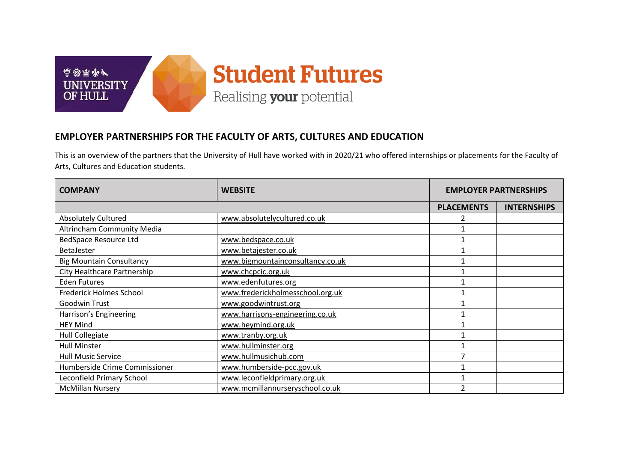

## **EMPLOYER PARTNERSHIPS FOR THE FACULTY OF ARTS, CULTURES AND EDUCATION**

This is an overview of the partners that the University of Hull have worked with in 2020/21 who offered internships or placements for the Faculty of Arts, Cultures and Education students.

| <b>COMPANY</b>                  | <b>WEBSITE</b>                   | <b>EMPLOYER PARTNERSHIPS</b> |                    |
|---------------------------------|----------------------------------|------------------------------|--------------------|
|                                 |                                  | <b>PLACEMENTS</b>            | <b>INTERNSHIPS</b> |
| <b>Absolutely Cultured</b>      | www.absolutelycultured.co.uk     |                              |                    |
| Altrincham Community Media      |                                  |                              |                    |
| <b>BedSpace Resource Ltd</b>    | www.bedspace.co.uk               |                              |                    |
| <b>BetaJester</b>               | www.betajester.co.uk             |                              |                    |
| <b>Big Mountain Consultancy</b> | www.bigmountainconsultancy.co.uk |                              |                    |
| City Healthcare Partnership     | www.chcpcic.org.uk               |                              |                    |
| <b>Eden Futures</b>             | www.edenfutures.org              |                              |                    |
| Frederick Holmes School         | www.frederickholmesschool.org.uk |                              |                    |
| Goodwin Trust                   | www.goodwintrust.org             |                              |                    |
| Harrison's Engineering          | www.harrisons-engineering.co.uk  |                              |                    |
| <b>HEY Mind</b>                 | www.heymind.org.uk               |                              |                    |
| <b>Hull Collegiate</b>          | www.tranby.org.uk                |                              |                    |
| <b>Hull Minster</b>             | www.hullminster.org              |                              |                    |
| <b>Hull Music Service</b>       | www.hullmusichub.com             |                              |                    |
| Humberside Crime Commissioner   | www.humberside-pcc.gov.uk        |                              |                    |
| Leconfield Primary School       | www.leconfieldprimary.org.uk     |                              |                    |
| <b>McMillan Nursery</b>         | www.mcmillannurseryschool.co.uk  |                              |                    |